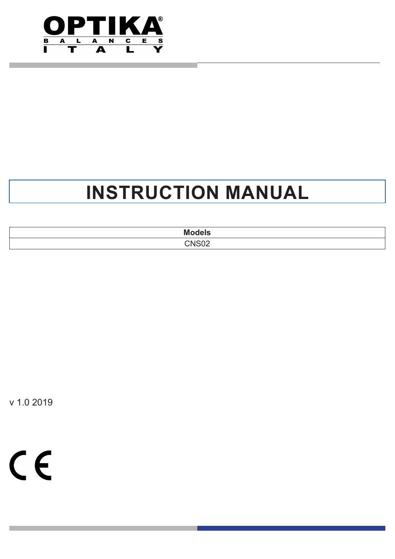

# **INSTRUCTION MANUAL**

| <b>Models</b> |  |
|---------------|--|
| CNICOC        |  |

v 1.0 2019

 $C \in$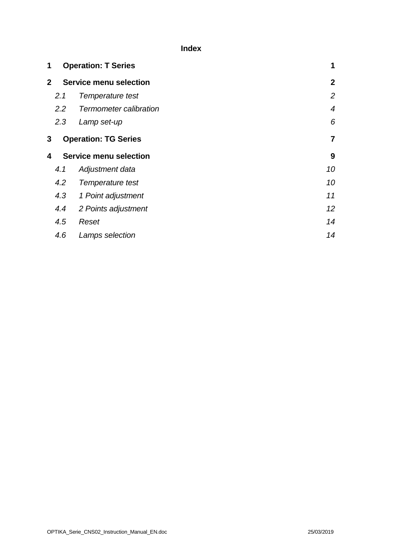**Index**

| 1                                  | <b>Operation: T Series</b>                    |                        |                  |  |
|------------------------------------|-----------------------------------------------|------------------------|------------------|--|
|                                    | <b>Service menu selection</b><br>$\mathbf{2}$ |                        |                  |  |
|                                    | 2.1                                           | Temperature test       | 2                |  |
|                                    | $2.2^{\circ}$                                 | Termometer calibration | $\boldsymbol{4}$ |  |
|                                    | 2.3                                           | Lamp set-up            | 6                |  |
| 3                                  | <b>Operation: TG Series</b>                   |                        |                  |  |
| <b>Service menu selection</b><br>4 |                                               |                        | 9                |  |
|                                    | 4.1                                           | Adjustment data        | 10               |  |
|                                    | 4.2                                           | Temperature test       | 10               |  |
|                                    | 4.3                                           | 1 Point adjustment     | 11               |  |
|                                    | 4.4                                           | 2 Points adjustment    | 12 <sup>°</sup>  |  |
|                                    | 4.5                                           | Reset                  | 14               |  |
|                                    | 4.6                                           |                        | 14               |  |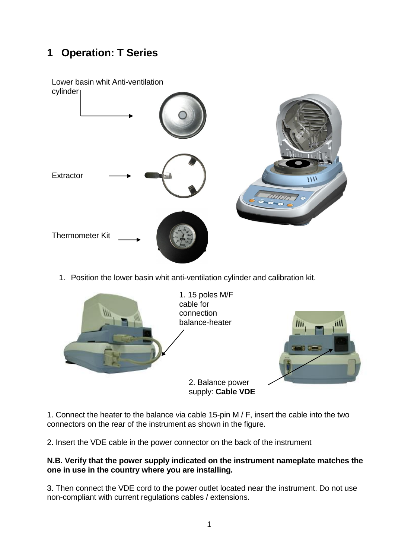# <span id="page-2-0"></span>**1 Operation: T Series**



1. Position the lower basin whit anti-ventilation cylinder and calibration kit.



1. Connect the heater to the balance via cable 15-pin M / F, insert the cable into the two connectors on the rear of the instrument as shown in the figure.

2. Insert the VDE cable in the power connector on the back of the instrument

#### **N.B. Verify that the power supply indicated on the instrument nameplate matches the one in use in the country where you are installing.**

3. Then connect the VDE cord to the power outlet located near the instrument. Do not use non-compliant with current regulations cables / extensions.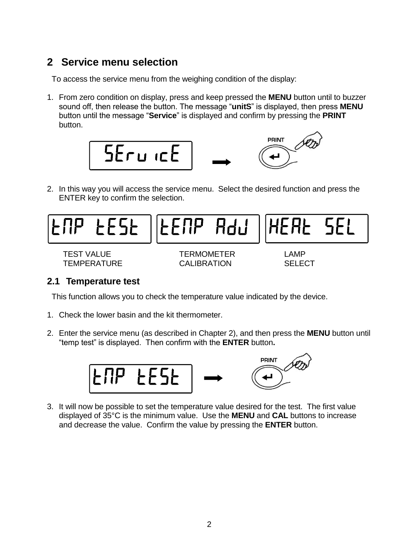# <span id="page-3-0"></span>**2 Service menu selection**

To access the service menu from the weighing condition of the display:

1. From zero condition on display, press and keep pressed the **MENU** button until to buzzer sound off, then release the button. The message "**unitS**" is displayed, then press **MENU** button until the message "**Service**" is displayed and confirm by pressing the **PRINT**  button.



2. In this way you will access the service menu. Select the desired function and press the ENTER key to confirm the selection.



### <span id="page-3-1"></span>**2.1 Temperature test**

This function allows you to check the temperature value indicated by the device.

- 1. Check the lower basin and the kit thermometer.
- 2. Enter the service menu (as described in Chapter 2), and then press the **MENU** button until "temp test" is displayed. Then confirm with the **ENTER** button**.**



3. It will now be possible to set the temperature value desired for the test. The first value displayed of 35°C is the minimum value. Use the **MENU** and **CAL** buttons to increase and decrease the value. Confirm the value by pressing the **ENTER** button.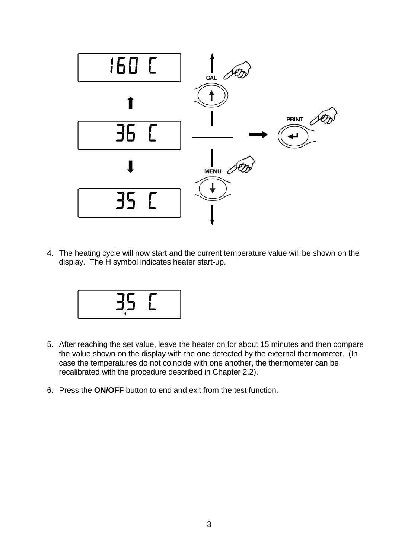

4. The heating cycle will now start and the current temperature value will be shown on the display. The H symbol indicates heater start-up.



- 5. After reaching the set value, leave the heater on for about 15 minutes and then compare the value shown on the display with the one detected by the external thermometer. (In case the temperatures do not coincide with one another, the thermometer can be recalibrated with the procedure described in Chapter 2.2).
- 6. Press the **ON/OFF** button to end and exit from the test function.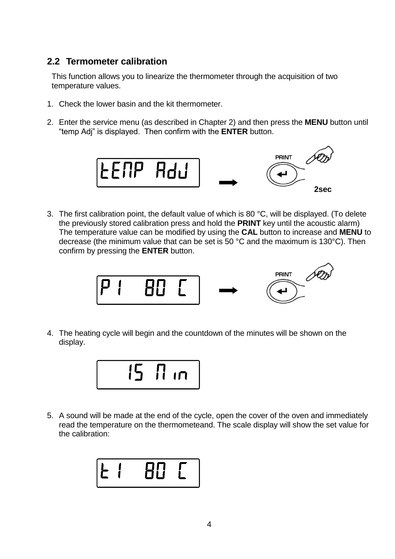### <span id="page-5-0"></span>**2.2 Termometer calibration**

This function allows you to linearize the thermometer through the acquisition of two temperature values.

- 1. Check the lower basin and the kit thermometer.
- 2. Enter the service menu (as described in Chapter 2) and then press the **MENU** button until "temp Adj" is displayed. Then confirm with the **ENTER** button.



3. The first calibration point, the default value of which is 80 °C, will be displayed. (To delete the previously stored calibration press and hold the **PRINT** key until the acoustic alarm) The temperature value can be modified by using the **CAL** button to increase and **MENU** to decrease (the minimum value that can be set is 50 °C and the maximum is 130°C). Then confirm by pressing the **ENTER** button.



4. The heating cycle will begin and the countdown of the minutes will be shown on the display.



5. A sound will be made at the end of the cycle, open the cover of the oven and immediately read the temperature on the thermometeand. The scale display will show the set value for the calibration:

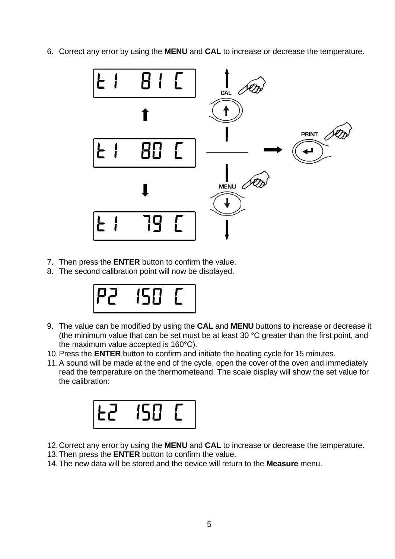6. Correct any error by using the **MENU** and **CAL** to increase or decrease the temperature.



- 7. Then press the **ENTER** button to confirm the value.
- 8. The second calibration point will now be displayed.



- 9. The value can be modified by using the **CAL** and **MENU** buttons to increase or decrease it (the minimum value that can be set must be at least 30 °C greater than the first point, and the maximum value accepted is 160°C).
- 10.Press the **ENTER** button to confirm and initiate the heating cycle for 15 minutes.
- 11.A sound will be made at the end of the cycle, open the cover of the oven and immediately read the temperature on the thermometeand. The scale display will show the set value for the calibration:



- 12.Correct any error by using the **MENU** and **CAL** to increase or decrease the temperature.
- 13.Then press the **ENTER** button to confirm the value.
- 14.The new data will be stored and the device will return to the **Measure** menu.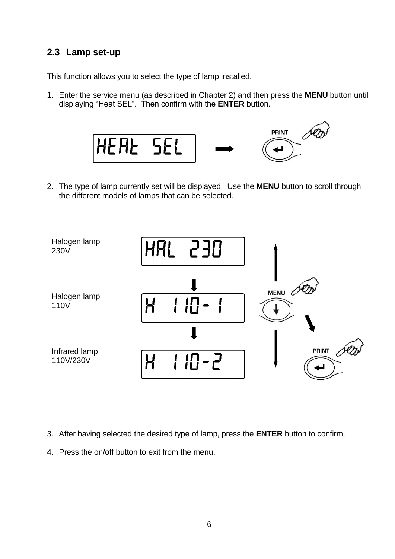# <span id="page-7-0"></span>**2.3 Lamp set-up**

This function allows you to select the type of lamp installed.

1. Enter the service menu (as described in Chapter 2) and then press the **MENU** button until displaying "Heat SEL". Then confirm with the **ENTER** button.



2. The type of lamp currently set will be displayed. Use the **MENU** button to scroll through the different models of lamps that can be selected.



- 3. After having selected the desired type of lamp, press the **ENTER** button to confirm.
- 4. Press the on/off button to exit from the menu.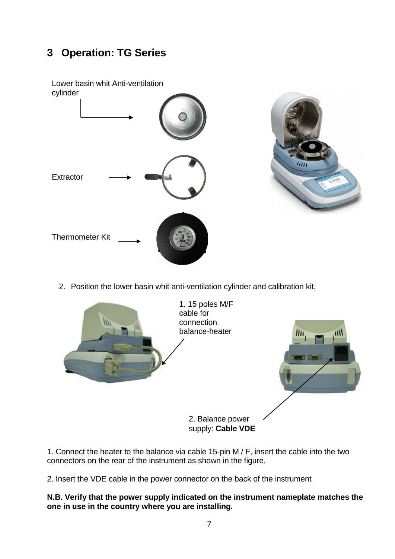# <span id="page-8-0"></span>**3 Operation: TG Series**



2. Position the lower basin whit anti-ventilation cylinder and calibration kit.



1. Connect the heater to the balance via cable 15-pin M / F, insert the cable into the two connectors on the rear of the instrument as shown in the figure.

2. Insert the VDE cable in the power connector on the back of the instrument

#### **N.B. Verify that the power supply indicated on the instrument nameplate matches the one in use in the country where you are installing.**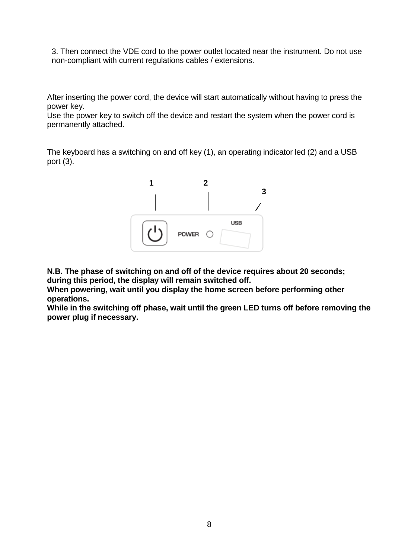3. Then connect the VDE cord to the power outlet located near the instrument. Do not use non-compliant with current regulations cables / extensions.

After inserting the power cord, the device will start automatically without having to press the power key.

Use the power key to switch off the device and restart the system when the power cord is permanently attached.

The keyboard has a switching on and off key (1), an operating indicator led (2) and a USB port (3).



**N.B. The phase of switching on and off of the device requires about 20 seconds; during this period, the display will remain switched off.**

**When powering, wait until you display the home screen before performing other operations.**

**While in the switching off phase, wait until the green LED turns off before removing the power plug if necessary.**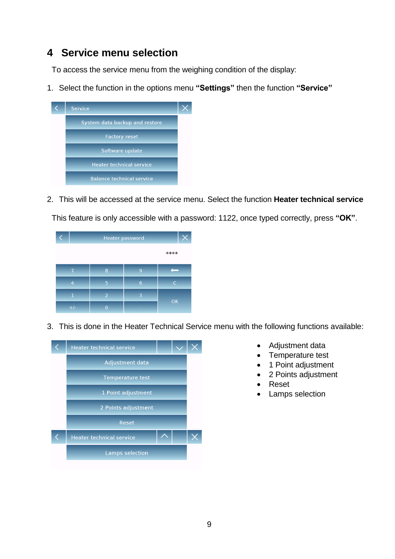# <span id="page-10-0"></span>**4 Service menu selection**

To access the service menu from the weighing condition of the display:

1. Select the function in the options menu **"Settings"** then the function **"Service"**



2. This will be accessed at the service menu. Select the function **Heater technical service** This feature is only accessible with a password: 1122, once typed correctly, press **"OK"**.

|       | <b>Heater password</b> |   |      |  |
|-------|------------------------|---|------|--|
|       |                        |   | **** |  |
|       | 8                      | 9 |      |  |
| Δ     | 5                      | 6 |      |  |
|       | $\overline{2}$         | 3 | OK   |  |
| $+/-$ | $\overline{0}$         | ٠ |      |  |

3. This is done in the Heater Technical Service menu with the following functions available:



- Adjustment data
- Temperature test
- 1 Point adjustment
- 2 Points adjustment
- Reset
- Lamps selection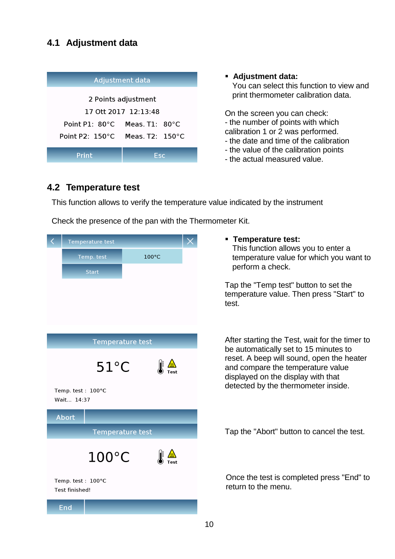## <span id="page-11-0"></span>**4.1 Adjustment data**

| <b>Adjustment data</b>    |                             |  |  |  |  |
|---------------------------|-----------------------------|--|--|--|--|
| 2 Points adjustment       |                             |  |  |  |  |
| 17 Ott 2017 12:13:48      |                             |  |  |  |  |
| Point P1: $80^{\circ}$ C  | Meas $T1.80^{\circ}$ C      |  |  |  |  |
| Point P2: $150^{\circ}$ C | Meas $T2 \pm 150^{\circ}$ C |  |  |  |  |
|                           |                             |  |  |  |  |
| Print                     | Esc                         |  |  |  |  |

#### **Adjustment data:** You can select this function to view and print thermometer calibration data.

On the screen you can check:

- the number of points with which calibration 1 or 2 was performed.
- the date and time of the calibration
- the value of the calibration points
- the actual measured value.

### <span id="page-11-1"></span>**4.2 Temperature test**

This function allows to verify the temperature value indicated by the instrument

Check the presence of the pan with the Thermometer Kit.

|                                     | Temperature test        |                                      | Ten<br>٠                   |
|-------------------------------------|-------------------------|--------------------------------------|----------------------------|
|                                     | Temp. test              | 100°C                                | This<br>tem                |
|                                     | <b>Start</b>            |                                      | perf                       |
|                                     |                         |                                      | Tap th<br>tempe<br>test.   |
|                                     | <b>Temperature test</b> |                                      | After s<br>be aut          |
|                                     | $51^{\circ}$ C          | $\frac{\mathbf{r}}{\mathbf{r}}$ Test | reset.<br>and co<br>displa |
| Temp. test: 100°C<br>Wait 14:37     |                         |                                      | detect                     |
| <b>Abort</b>                        |                         |                                      |                            |
|                                     | <b>Temperature test</b> |                                      | Tap th                     |
|                                     | $100^{\circ}$ C         |                                      |                            |
| Temp. test: 100°C<br>Test finished! |                         |                                      | Once<br>return             |
| End                                 |                         |                                      |                            |

**Temperature test:**

s function allows you to enter a perature value for which you want to form a check.

ne "Temp test" button to set the rature value. Then press "Start" to

starting the Test, wait for the timer to tomatically set to 15 minutes to A beep will sound, open the heater ompare the temperature value yed on the display with that ed by the thermometer inside.

ne "Abort" button to cancel the test.

the test is completed press "End" to to the menu.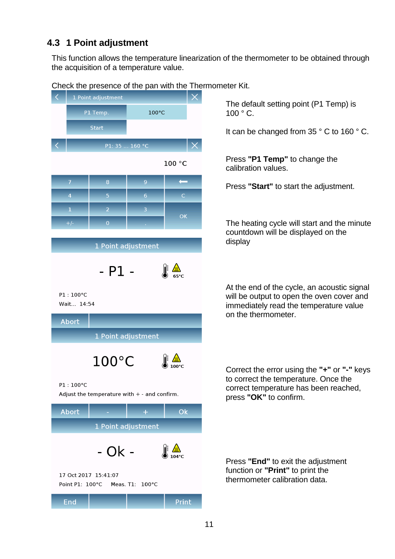# <span id="page-12-0"></span>**4.3 1 Point adjustment**

This function allows the temperature linearization of the thermometer to be obtained through the acquisition of a temperature value.

| Check the presence of the pan with the Thern<br>1 Point adjustment |                 |                |                                                        |  |  |  |  |
|--------------------------------------------------------------------|-----------------|----------------|--------------------------------------------------------|--|--|--|--|
| P1 Temp.                                                           |                 | 100°C          |                                                        |  |  |  |  |
| <b>Start</b>                                                       |                 |                |                                                        |  |  |  |  |
|                                                                    |                 | P1: 35  160 °C |                                                        |  |  |  |  |
|                                                                    |                 |                | 100 °C                                                 |  |  |  |  |
| $\overline{7}$                                                     | 8               | $\overline{9}$ |                                                        |  |  |  |  |
| $\overline{4}$                                                     | 5               | 6              | $\mathsf{C}$                                           |  |  |  |  |
| $\mathbf{1}$                                                       | $\overline{2}$  | $\overline{3}$ | OK                                                     |  |  |  |  |
| $+/-$                                                              | $\overline{0}$  |                |                                                        |  |  |  |  |
| 1 Point adjustment                                                 |                 |                |                                                        |  |  |  |  |
|                                                                    | $-$ P1 $-$      |                | $\mathbb{R}$ $\frac{\mathbf{A}}{25^{\circ}\mathrm{C}}$ |  |  |  |  |
| P1:100°C<br>Wait 14:54                                             |                 |                |                                                        |  |  |  |  |
| <b>Abort</b>                                                       |                 |                |                                                        |  |  |  |  |
| 1 Point adjustment                                                 |                 |                |                                                        |  |  |  |  |
|                                                                    | $100^{\circ}$ C |                |                                                        |  |  |  |  |
| P1:100°C<br>Adjust the temperature with $+$ - and confirm.         |                 |                |                                                        |  |  |  |  |
| Abort                                                              |                 | ÷              | Ok                                                     |  |  |  |  |
| 1 Point adjustment                                                 |                 |                |                                                        |  |  |  |  |
|                                                                    | - Ok -          |                | ⊯                                                      |  |  |  |  |

Check the presence of the pan with the Thermometer Kit.

The default setting point (P1 Temp) is 100 ° C.

It can be changed from 35 ° C to 160 ° C.

Press **"P1 Temp"** to change the calibration values.

Press **"Start"** to start the adjustment.

The heating cycle will start and the minute countdown will be displayed on the display

At the end of the cycle, an acoustic signal will be output to open the oven cover and immediately read the temperature value on the thermometer.

Correct the error using the **"+"** or **"-"** keys to correct the temperature. Once the correct temperature has been reached, press **"OK"** to confirm.

Press **"End"** to exit the adjustment function or **"Print"** to print the thermometer calibration data.

(●) 104°C 17 Oct 2017 15:41:07 Point P1: 100°C Meas. T1: 100°C **End** Print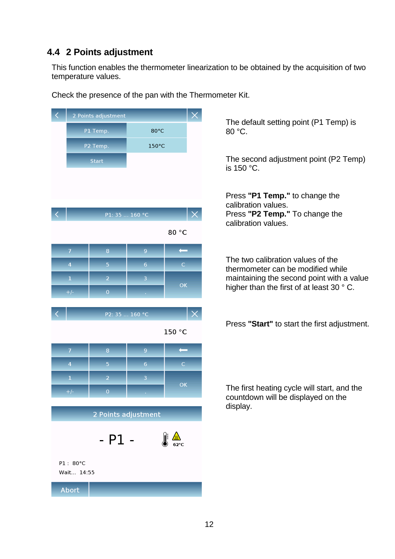# <span id="page-13-0"></span>**4.4 2 Points adjustment**

This function enables the thermometer linearization to be obtained by the acquisition of two temperature values.

 $\prec$ P1 Temp. 80°C P2 Temp. 150°C **Start** P1: 35 ... 160 °C 80 °C  $\leftarrow$  $\overline{8}$  $\overline{5}$  $6<sup>1</sup>$  $\overline{z}$  $OK$ P2: 35 ... 160 °C 150 °C  $\leftarrow$  $OK$ 2 Points adjustment  $-$  P1  $P1:80°C$ Wait... 14:55 **Abort** 

Check the presence of the pan with the Thermometer Kit.

The default setting point (P1 Temp) is 80 °C.

The second adjustment point (P2 Temp) is 150 °C.

Press **"P1 Temp."** to change the calibration values. Press **"P2 Temp."** To change the calibration values.

The two calibration values of the thermometer can be modified while maintaining the second point with a value higher than the first of at least 30 ° C.

Press **"Start"** to start the first adjustment.

The first heating cycle will start, and the countdown will be displayed on the display.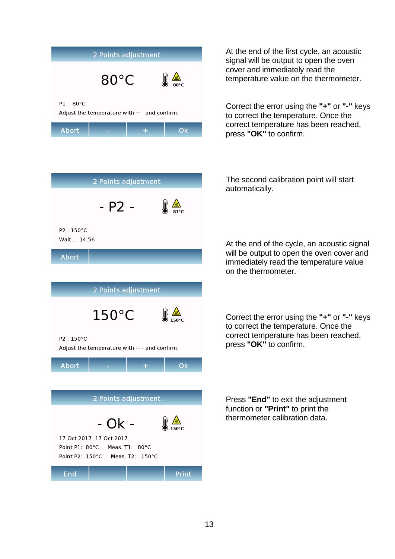| 2 Points adjustment                                        |                |  |                    |  |  |
|------------------------------------------------------------|----------------|--|--------------------|--|--|
|                                                            | $80^{\circ}$ C |  | <u>⁄ல∖</u><br>80°⊂ |  |  |
| P1: 80°C<br>Adjust the temperature with $+$ - and confirm. |                |  |                    |  |  |
| <b>Abort</b>                                               |                |  | ∩k                 |  |  |



At the end of the first cycle, an acoustic signal will be output to open the oven cover and immediately read the temperature value on the thermometer.

Correct the error using the **"+"** or **"-"** keys to correct the temperature. Once the correct temperature has been reached, press **"OK"** to confirm.

The second calibration point will start automatically.

At the end of the cycle, an acoustic signal will be output to open the oven cover and immediately read the temperature value on the thermometer.

Correct the error using the **"+"** or **"-"** keys to correct the temperature. Once the correct temperature has been reached, press **"OK"** to confirm.

Press **"End"** to exit the adjustment function or **"Print"** to print the thermometer calibration data.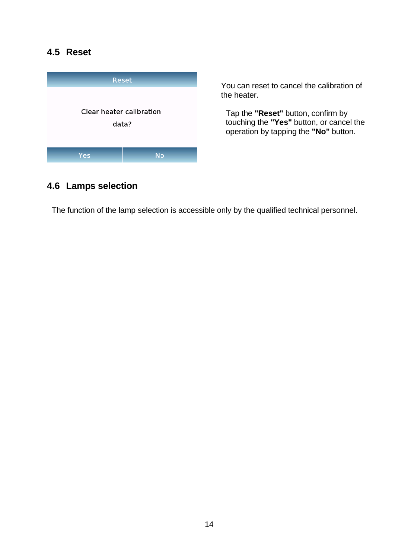# <span id="page-15-0"></span>**4.5 Reset**



You can reset to cancel the calibration of the heater.

Tap the **"Reset"** button, confirm by touching the **"Yes"** button, or cancel the operation by tapping the **"No"** button.

### <span id="page-15-1"></span>**4.6 Lamps selection**

The function of the lamp selection is accessible only by the qualified technical personnel.